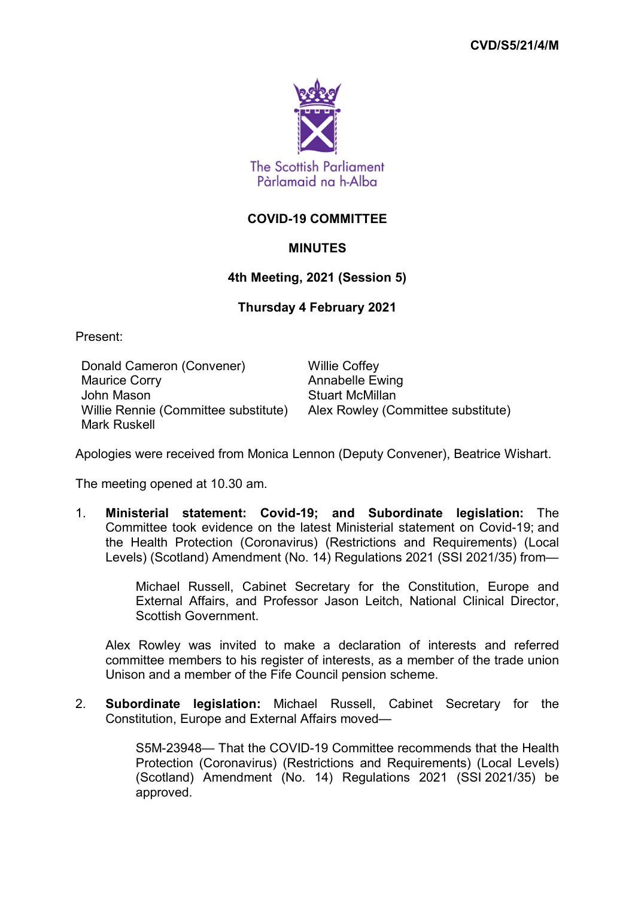

## **COVID-19 COMMITTEE**

## **MINUTES**

## **4th Meeting, 2021 (Session 5)**

## **Thursday 4 February 2021**

Present:

Donald Cameron (Convener) Willie Coffey Maurice Corry **Annabelle Ewing** John Mason **Stuart McMillan** Willie Rennie (Committee substitute) Alex Rowley (Committee substitute) Mark Ruskell

Apologies were received from Monica Lennon (Deputy Convener), Beatrice Wishart.

The meeting opened at 10.30 am.

1. **Ministerial statement: Covid-19; and Subordinate legislation:** The Committee took evidence on the latest Ministerial statement on Covid-19; and the Health Protection (Coronavirus) (Restrictions and Requirements) (Local Levels) (Scotland) Amendment (No. 14) Regulations 2021 (SSI 2021/35) from—

> Michael Russell, Cabinet Secretary for the Constitution, Europe and External Affairs, and Professor Jason Leitch, National Clinical Director, Scottish Government.

Alex Rowley was invited to make a declaration of interests and referred committee members to his register of interests, as a member of the trade union Unison and a member of the Fife Council pension scheme.

2. **Subordinate legislation:** Michael Russell, Cabinet Secretary for the Constitution, Europe and External Affairs moved—

> S5M-23948— That the COVID-19 Committee recommends that the Health Protection (Coronavirus) (Restrictions and Requirements) (Local Levels) (Scotland) Amendment (No. 14) Regulations 2021 (SSI 2021/35) be approved.